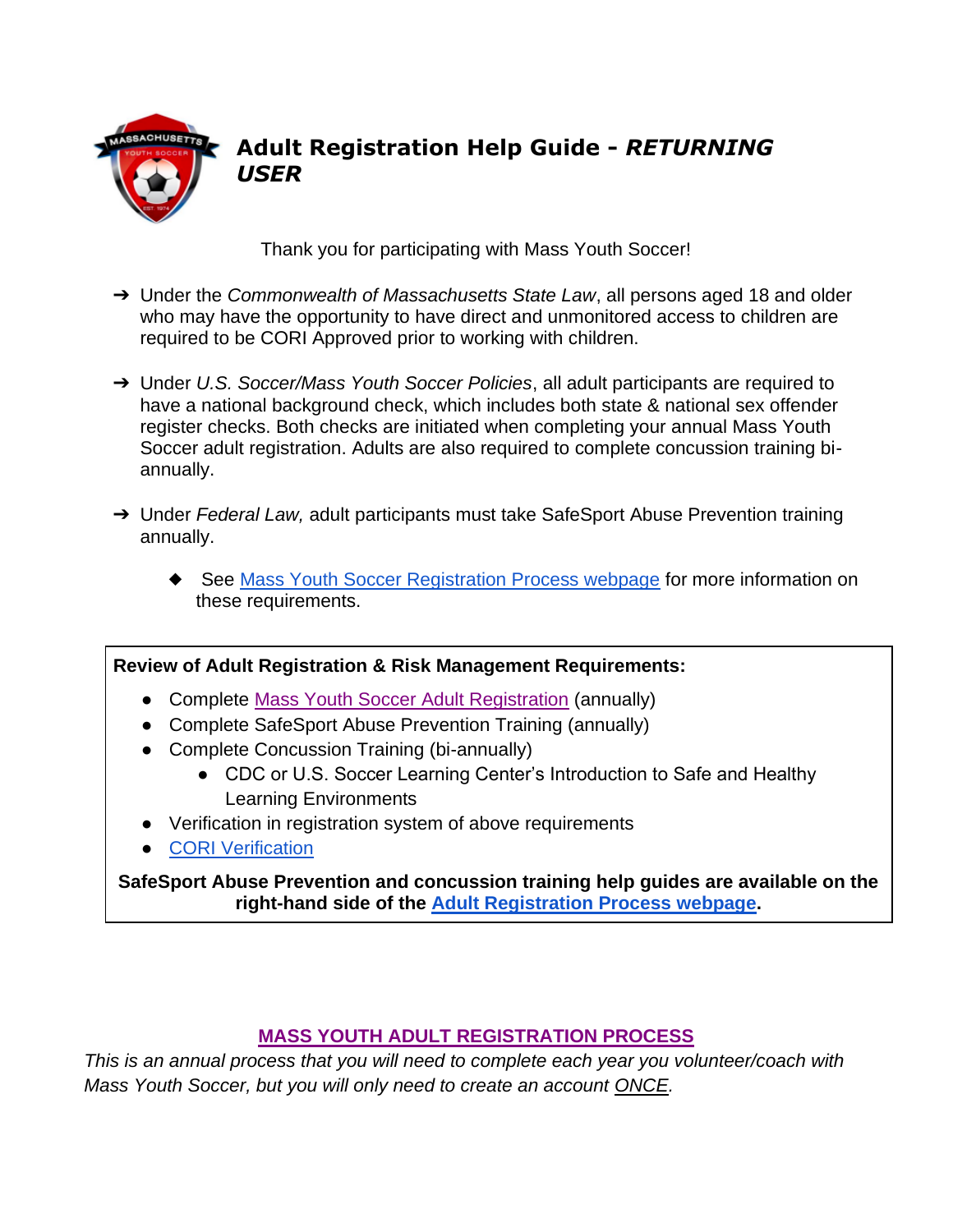

# **Adult Registration Help Guide -** *RETURNING USER*

Thank you for participating with Mass Youth Soccer!

- ➔ Under the *Commonwealth of Massachusetts State Law*, all persons aged 18 and older who may have the opportunity to have direct and unmonitored access to children are required to be CORI Approved prior to working with children.
- ➔ Under *U.S. Soccer/Mass Youth Soccer Policies*, all adult participants are required to have a national background check, which includes both state & national sex offender register checks. Both checks are initiated when completing your annual Mass Youth Soccer adult registration. Adults are also required to complete concussion training biannually.
- ➔ Under *Federal Law,* adult participants must take SafeSport Abuse Prevention training annually.
	- ◆ See [Mass Youth Soccer Registration Process webpage](https://www.mayouthsoccer.org/adult-registration-process/) for more information on these requirements.

## **Review of Adult Registration & Risk Management Requirements:**

- <span id="page-0-0"></span>• Complete [Mass Youth Soccer Adult Registration](#page-0-0) (annually)
- Complete SafeSport Abuse Prevention Training (annually)
- Complete Concussion Training (bi-annually)
	- CDC or U.S. Soccer Learning Center's Introduction to Safe and Healthy Learning Environments
- Verification in registration system of above requirements
- [CORI Verification](#page-3-0)

**SafeSport Abuse Prevention and concussion training help guides are available on the right-hand side of the [Adult Registration Process webpage.](https://www.mayouthsoccer.org/adult-registration-process/)** 

## **MASS YOUTH ADULT [REGISTRATION PROCESS](#page-0-0)**

*This is an annual process that you will need to complete each year you volunteer/coach with Mass Youth Soccer, but you will only need to create an account ONCE.*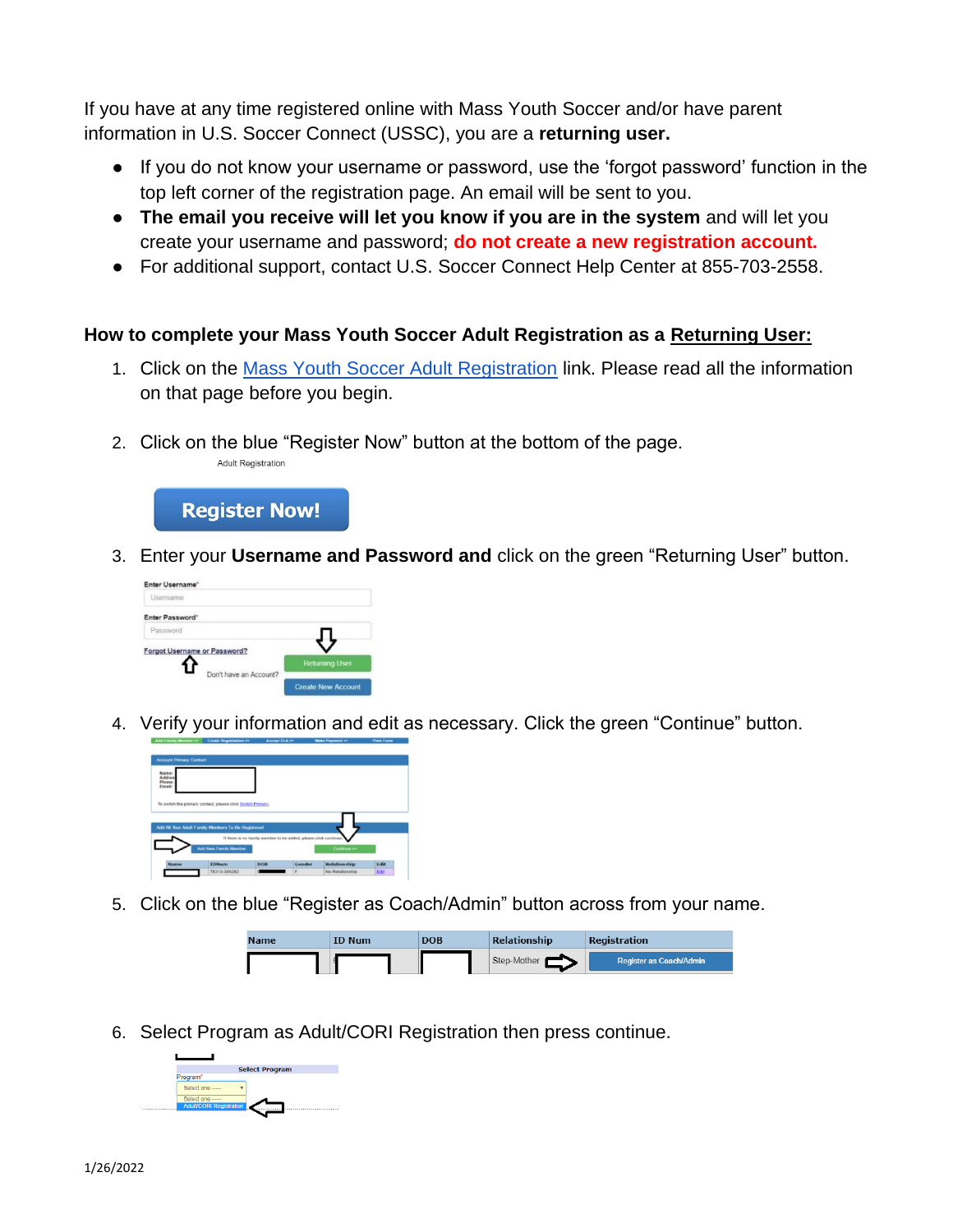If you have at any time registered online with Mass Youth Soccer and/or have parent information in U.S. Soccer Connect (USSC), you are a **returning user.**

- If you do not know your username or password, use the 'forgot password' function in the top left corner of the registration page. An email will be sent to you.
- **The email you receive will let you know if you are in the system** and will let you create your username and password; **do not create a new registration account.**
- For additional support, contact U.S. Soccer Connect Help Center at 855-703-2558.

### **How to complete your Mass Youth Soccer Adult Registration as a Returning User:**

- 1. Click on the [Mass Youth Soccer Adult Registration](https://secure.sportsaffinity.com/reg/index.asp?sessionguid=&domain=ma-cori%2Eaffinitysoccer%2Ecom) link. Please read all the information on that page before you begin.
- 2. Click on the blue "Register Now" button at the bottom of the page. **Adult Registration**



3. Enter your **Username and Password and** click on the green "Returning User" button.



4. Verify your information and edit as necessary. Click the green "Continue" button.



5. Click on the blue "Register as Coach/Admin" button across from your name.



6. Select Program as Adult/CORI Registration then press continue.

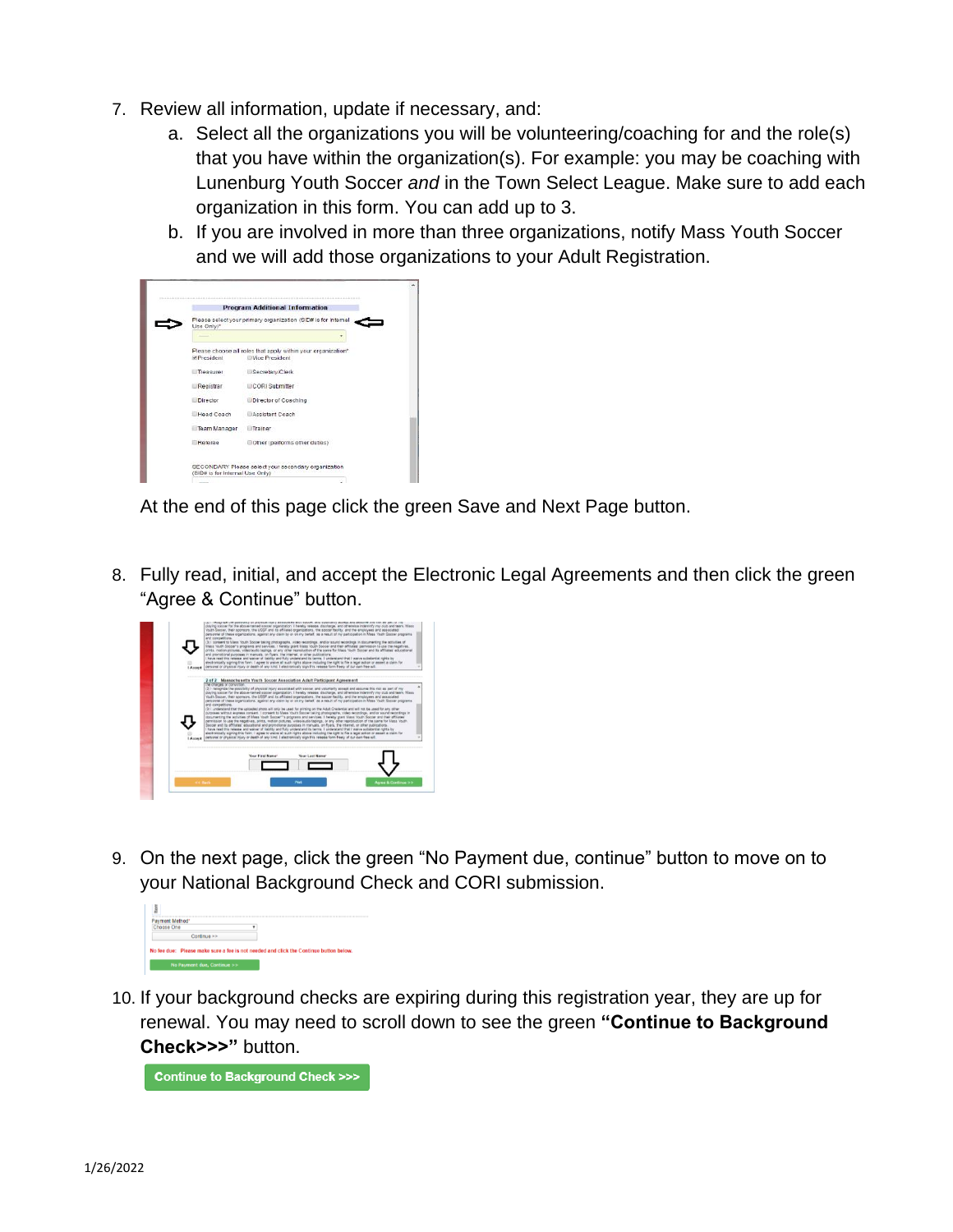- 7. Review all information, update if necessary, and:
	- a. Select all the organizations you will be volunteering/coaching for and the role(s) that you have within the organization(s). For example: you may be coaching with Lunenburg Youth Soccer *and* in the Town Select League. Make sure to add each organization in this form. You can add up to 3.
	- b. If you are involved in more than three organizations, notify Mass Youth Soccer and we will add those organizations to your Adult Registration.



At the end of this page click the green Save and Next Page button.

8. Fully read, initial, and accept the Electronic Legal Agreements and then click the green "Agree & Continue" button.



9. On the next page, click the green "No Payment due, continue" button to move on to your National Background Check and CORI submission.



10. If your background checks are expiring during this registration year, they are up for renewal. You may need to scroll down to see the green **"Continue to Background Check>>>"** button.

**Continue to Background Check >>>**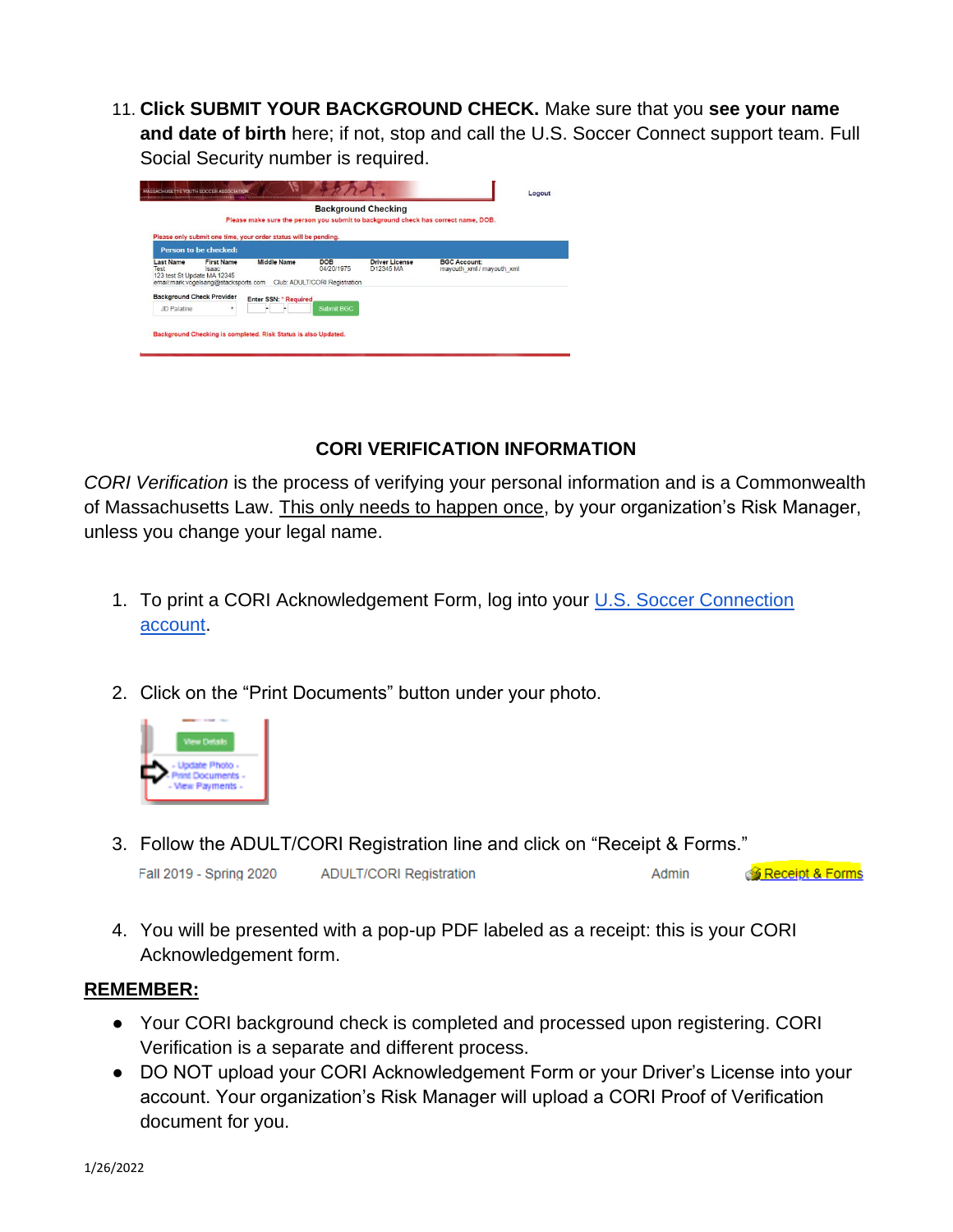11. **Click SUBMIT YOUR BACKGROUND CHECK.** Make sure that you **see your name and date of birth** here; if not, stop and call the U.S. Soccer Connect support team. Full Social Security number is required.

|                                                         |                                                                           |                                                                 |                                                           | <b>Background Checking</b>         | Please make sure the person you submit to background check has correct name. DOB. |  |
|---------------------------------------------------------|---------------------------------------------------------------------------|-----------------------------------------------------------------|-----------------------------------------------------------|------------------------------------|-----------------------------------------------------------------------------------|--|
|                                                         | <b>Person to be checked:</b>                                              | Please only submit one time, your order status will be pending. |                                                           |                                    |                                                                                   |  |
| <b>Last Name</b><br>Test<br>123 test St Update MA 12345 | <b>First Name</b><br><b>Isaac</b><br>email:mark.vogelsang@stacksports.com | <b>Middle Name</b>                                              | <b>DOB</b><br>04/20/1975<br>Club: ADULT/CORI Registration | <b>Driver License</b><br>D12345 MA | <b>BGC Account:</b><br>mayouth xml / mayouth xml                                  |  |
| <b>Background Check Provider</b><br>JD Palatine         | ٠                                                                         | Enter SSN: * Required                                           | <b>Submit BGC</b>                                         |                                    |                                                                                   |  |

## **CORI VERIFICATION INFORMATION**

<span id="page-3-0"></span>*CORI Verification* is the process of verifying your personal information and is a Commonwealth of Massachusetts Law. This only needs to happen once, by your organization's Risk Manager, unless you change your legal name.

- 1. To print a CORI Acknowledgement Form, log into your [U.S. Soccer Connection](https://mayouthsoccer.sportsaffinity.com/Foundation/Login.aspx?sessionguid=)  [account.](https://mayouthsoccer.sportsaffinity.com/Foundation/Login.aspx?sessionguid=)
- 2. Click on the "Print Documents" button under your photo.



3. Follow the ADULT/CORI Registration line and click on "Receipt & Forms."

| Fall 2019 - Spring 2020 | <b>ADULT/CORI Registration</b> | Admin | S <mark>≸ Receipt &amp; Forms</mark> |
|-------------------------|--------------------------------|-------|--------------------------------------|
|                         |                                |       |                                      |

4. You will be presented with a pop-up PDF labeled as a receipt: this is your CORI Acknowledgement form.

## **REMEMBER:**

- Your CORI background check is completed and processed upon registering. CORI Verification is a separate and different process.
- DO NOT upload your CORI Acknowledgement Form or your Driver's License into your account. Your organization's Risk Manager will upload a CORI Proof of Verification document for you.